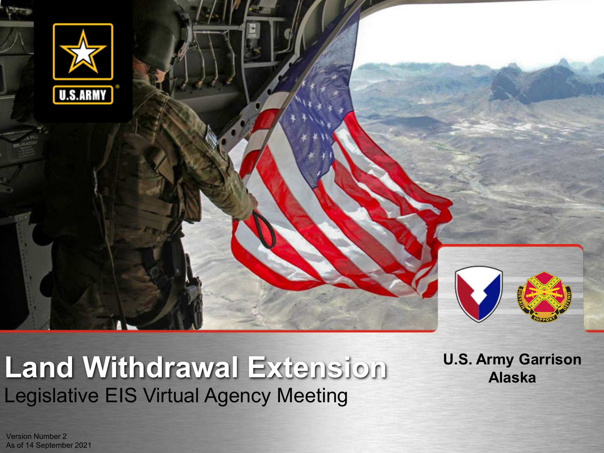

## Legislative EIS Virtual Agency Meeting **Land Withdrawal Extension**

**U.S. Army Garrison Alaska**

Version Number 2 As of 14 September 2021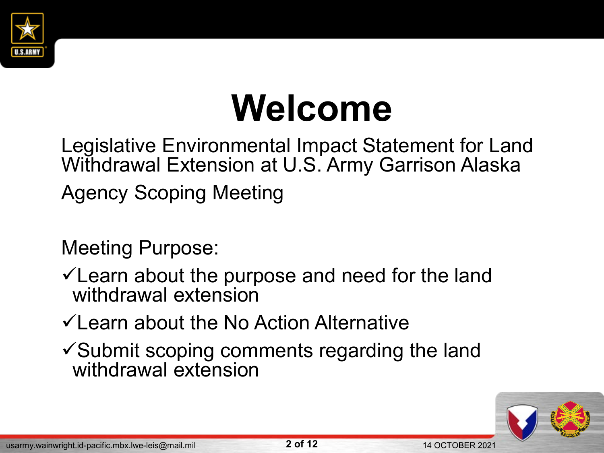

# **Welcome**

Legislative Environmental Impact Statement for Land Withdrawal Extension at U.S. Army Garrison Alaska Agency Scoping Meeting

Meeting Purpose:

 $\checkmark$  Learn about the purpose and need for the land withdrawal extension

 $\checkmark$  Learn about the No Action Alternative

 $\checkmark$  Submit scoping comments regarding the land withdrawal extension

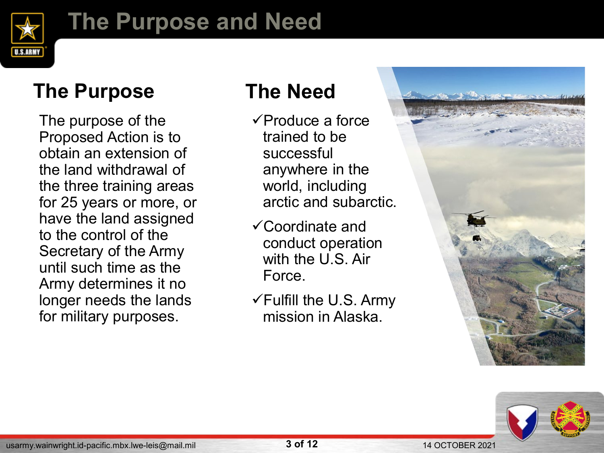

## **The Purpose and Need**

### **The Purpose The Need**

The purpose of the Proposed Action is to obtain an extension of the land withdrawal of the three training areas for 25 years or more, or have the land assigned to the control of the Secretary of the Army until such time as the Army determines it no longer needs the lands for military purposes.

- $\sqrt{P}$ roduce a force trained to be successful anywhere in the world, including arctic and subarctic.
- Coordinate and conduct operation with the U.S. Air Force.
- $\checkmark$  Fulfill the U.S. Army mission in Alaska.



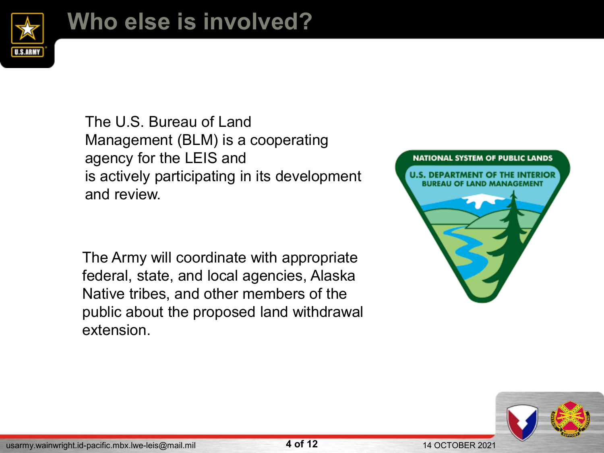

## **Who else is involved?**

The U.S. Bureau of Land Management (BLM) is a cooperating agency for the LEIS and is actively participating in its development and review.

The Army will coordinate with appropriate federal, state, and local agencies, Alaska Native tribes, and other members of the public about the proposed land withdrawal extension.



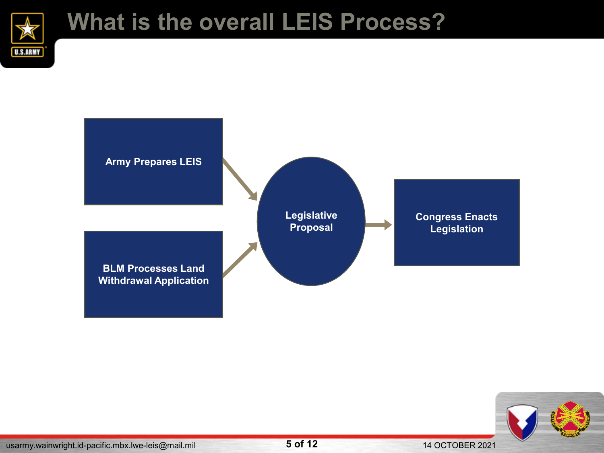

## **What is the overall LEIS Process?**



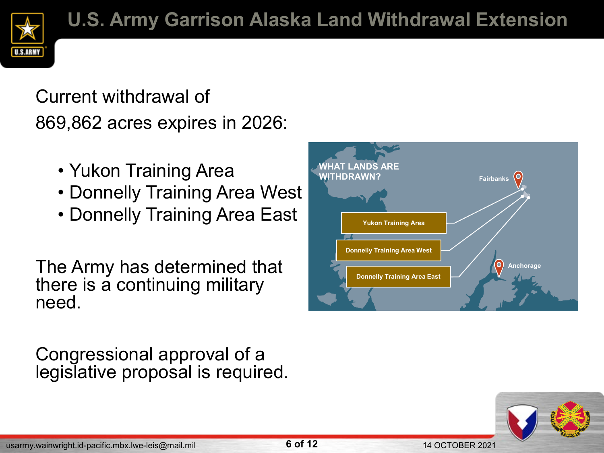## Current withdrawal of 869,862 acres expires in 2026:

- Yukon Training Area
- Donnelly Training Area West
- Donnelly Training Area East

The Army has determined that there is a continuing military need.

Congressional approval of a legislative proposal is required.



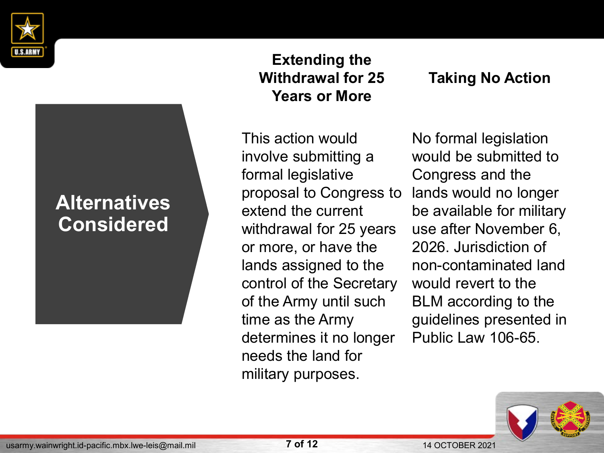

#### **Alternatives Considered**

**Extending the Withdrawal for 25 Years or More**

This action would involve submitting a formal legislative proposal to Congress to extend the current withdrawal for 25 years or more, or have the lands assigned to the control of the Secretary of the Army until such time as the Army determines it no longer needs the land for military purposes.

#### **Taking No Action**

No formal legislation would be submitted to Congress and the lands would no longer be available for military use after November 6, 2026. Jurisdiction of non-contaminated land would revert to the BLM according to the guidelines presented in Public Law 106-65.

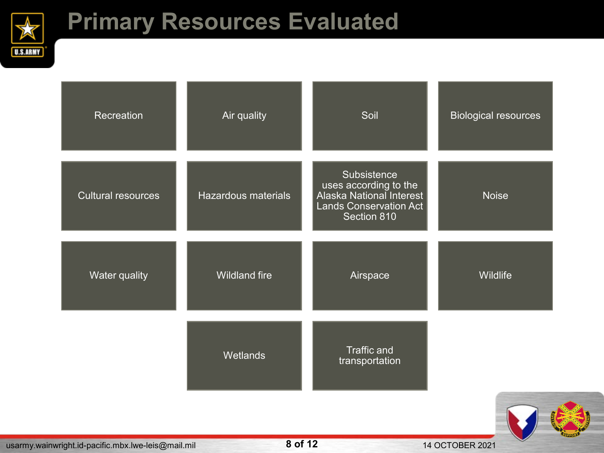

## **Primary Resources Evaluated**

| Recreation                | Air quality          | Soil                                                                                                             | <b>Biological resources</b> |
|---------------------------|----------------------|------------------------------------------------------------------------------------------------------------------|-----------------------------|
| <b>Cultural resources</b> | Hazardous materials  | Subsistence<br>uses according to the<br>Alaska National Interest<br><b>Lands Conservation Act</b><br>Section 810 | <b>Noise</b>                |
| Water quality             | <b>Wildland fire</b> | Airspace                                                                                                         | Wildlife                    |
|                           | Wetlands             | <b>Traffic and</b><br>transportation                                                                             |                             |
|                           |                      |                                                                                                                  |                             |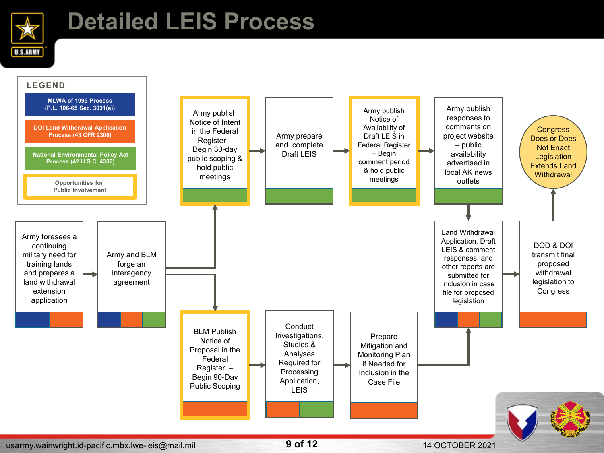

## **Detailed LEIS Process**

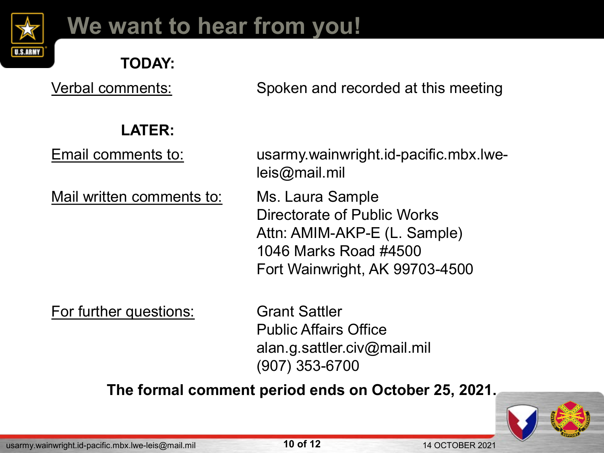

## **We want to hear from you!**

#### **TODAY:**

Verbal comments: Spoken and recorded at this meeting

#### **LATER:**

Mail written comments to: Ms. Laura Sample

Email comments to: usarmy.wainwright.id-pacific.mbx.lweleis@mail.mil

> Directorate of Public Works Attn: AMIM-AKP-E (L. Sample) 1046 Marks Road #4500 Fort Wainwright, AK 99703-4500

For further questions: Grant Sattler

Public Affairs Office alan.g.sattler.civ@mail.mil (907) 353-6700

#### **The formal comment period ends on October 25, 2021.**



usarmy.wainwright.id-pacific.mbx.lwe-leis@mail.mil **10 of 12** 14 OCTOBER 2021